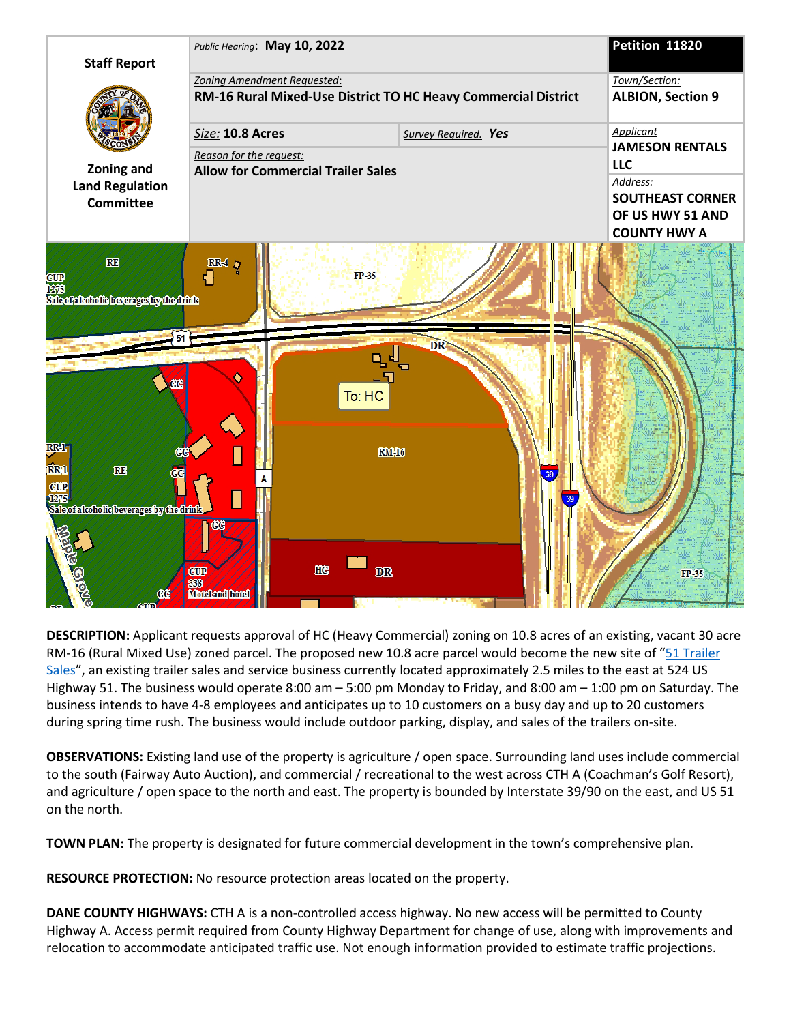

**DESCRIPTION:** Applicant requests approval of HC (Heavy Commercial) zoning on 10.8 acres of an existing, vacant 30 acre RM-16 (Rural Mixed Use) zoned parcel. The proposed new 10.8 acre parcel would become the new site of "51 Trailer [Sales"](https://www.51trailersales.com/), an existing trailer sales and service business currently located approximately 2.5 miles to the east at 524 US Highway 51. The business would operate 8:00 am – 5:00 pm Monday to Friday, and 8:00 am – 1:00 pm on Saturday. The business intends to have 4-8 employees and anticipates up to 10 customers on a busy day and up to 20 customers during spring time rush. The business would include outdoor parking, display, and sales of the trailers on-site.

**OBSERVATIONS:** Existing land use of the property is agriculture / open space. Surrounding land uses include commercial to the south (Fairway Auto Auction), and commercial / recreational to the west across CTH A (Coachman's Golf Resort), and agriculture / open space to the north and east. The property is bounded by Interstate 39/90 on the east, and US 51 on the north.

**TOWN PLAN:** The property is designated for future commercial development in the town's comprehensive plan.

**RESOURCE PROTECTION:** No resource protection areas located on the property.

**DANE COUNTY HIGHWAYS:** CTH A is a non-controlled access highway. No new access will be permitted to County Highway A. Access permit required from County Highway Department for change of use, along with improvements and relocation to accommodate anticipated traffic use. Not enough information provided to estimate traffic projections.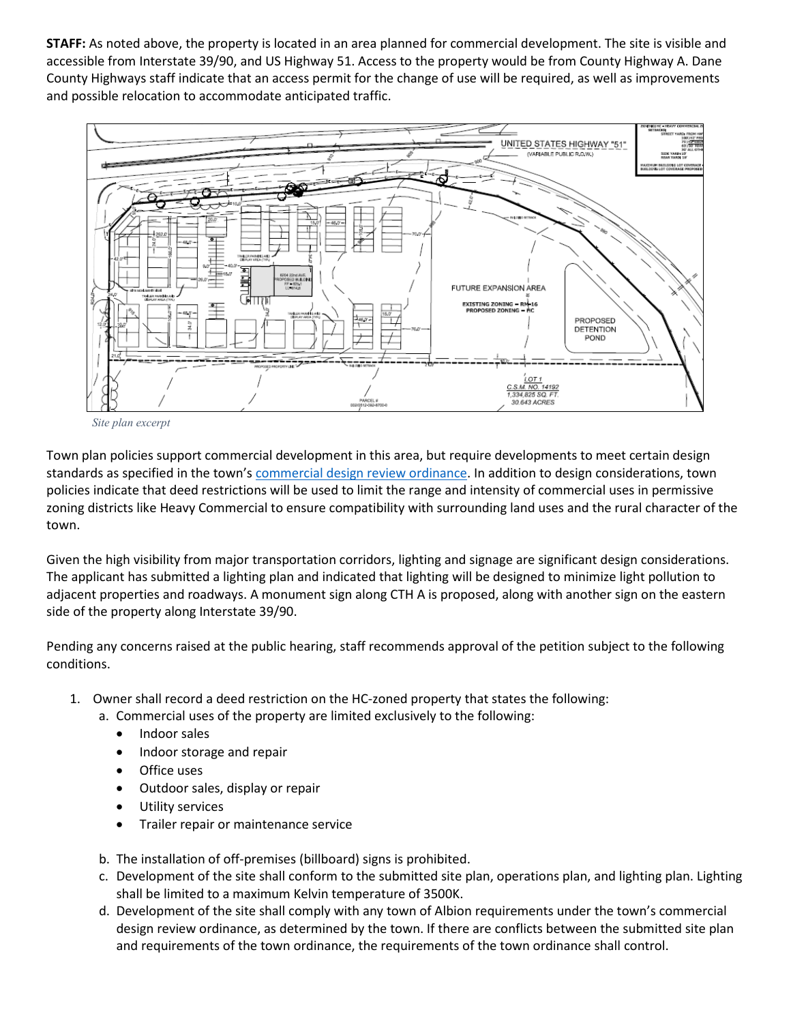**STAFF:** As noted above, the property is located in an area planned for commercial development. The site is visible and accessible from Interstate 39/90, and US Highway 51. Access to the property would be from County Highway A. Dane County Highways staff indicate that an access permit for the change of use will be required, as well as improvements and possible relocation to accommodate anticipated traffic.



*Site plan excerpt*

Town plan policies support commercial development in this area, but require developments to meet certain design standards as specified in the town's [commercial design review ordinance.](https://www.danecountyplanning.com/documents/Albion/Albion-Commercial-Development-policies-AS-TOWN-APPROVED-9-6-2016-3.pdf#page=2) In addition to design considerations, town policies indicate that deed restrictions will be used to limit the range and intensity of commercial uses in permissive zoning districts like Heavy Commercial to ensure compatibility with surrounding land uses and the rural character of the town.

Given the high visibility from major transportation corridors, lighting and signage are significant design considerations. The applicant has submitted a lighting plan and indicated that lighting will be designed to minimize light pollution to adjacent properties and roadways. A monument sign along CTH A is proposed, along with another sign on the eastern side of the property along Interstate 39/90.

Pending any concerns raised at the public hearing, staff recommends approval of the petition subject to the following conditions.

- 1. Owner shall record a deed restriction on the HC-zoned property that states the following:
	- a. Commercial uses of the property are limited exclusively to the following:
		- Indoor sales
		- Indoor storage and repair
		- Office uses
		- Outdoor sales, display or repair
		- Utility services
		- Trailer repair or maintenance service
	- b. The installation of off-premises (billboard) signs is prohibited.
	- c. Development of the site shall conform to the submitted site plan, operations plan, and lighting plan. Lighting shall be limited to a maximum Kelvin temperature of 3500K.
	- d. Development of the site shall comply with any town of Albion requirements under the town's commercial design review ordinance, as determined by the town. If there are conflicts between the submitted site plan and requirements of the town ordinance, the requirements of the town ordinance shall control.